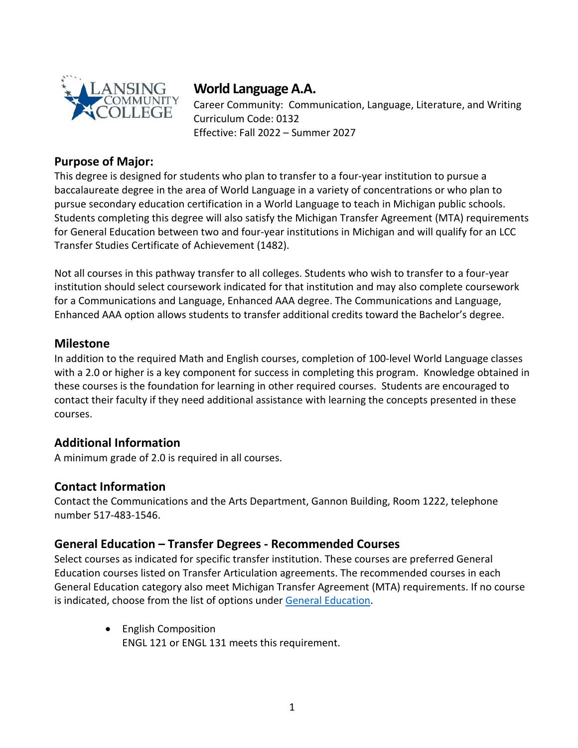

# **World Language A.A.**

Career Community: Communication, Language, Literature, and Writing Curriculum Code: 0132 Effective: Fall 2022 – Summer 2027

### **Purpose of Major:**

This degree is designed for students who plan to transfer to a four-year institution to pursue a baccalaureate degree in the area of World Language in a variety of concentrations or who plan to pursue secondary education certification in a World Language to teach in Michigan public schools. Students completing this degree will also satisfy the Michigan Transfer Agreement (MTA) requirements for General Education between two and four-year institutions in Michigan and will qualify for an LCC Transfer Studies Certificate of Achievement (1482).

Not all courses in this pathway transfer to all colleges. Students who wish to transfer to a four-year institution should select coursework indicated for that institution and may also complete coursework for a Communications and Language, Enhanced AAA degree. The Communications and Language, Enhanced AAA option allows students to transfer additional credits toward the Bachelor's degree.

#### **Milestone**

In addition to the required Math and English courses, completion of 100-level World Language classes with a 2.0 or higher is a key component for success in completing this program. Knowledge obtained in these courses is the foundation for learning in other required courses. Students are encouraged to contact their faculty if they need additional assistance with learning the concepts presented in these courses.

#### **Additional Information**

A minimum grade of 2.0 is required in all courses.

#### **Contact Information**

Contact the Communications and the Arts Department, Gannon Building, Room 1222, telephone number 517-483-1546.

#### **General Education – Transfer Degrees - Recommended Courses**

Select courses as indicated for specific transfer institution. These courses are preferred General Education courses listed on Transfer Articulation agreements. The recommended courses in each General Education category also meet Michigan Transfer Agreement (MTA) requirements. If no course is indicated, choose from the list of options under [General Education.](https://www.lcc.edu/academics/catalog/general-education/)

> • English Composition ENGL 121 or ENGL 131 meets this requirement.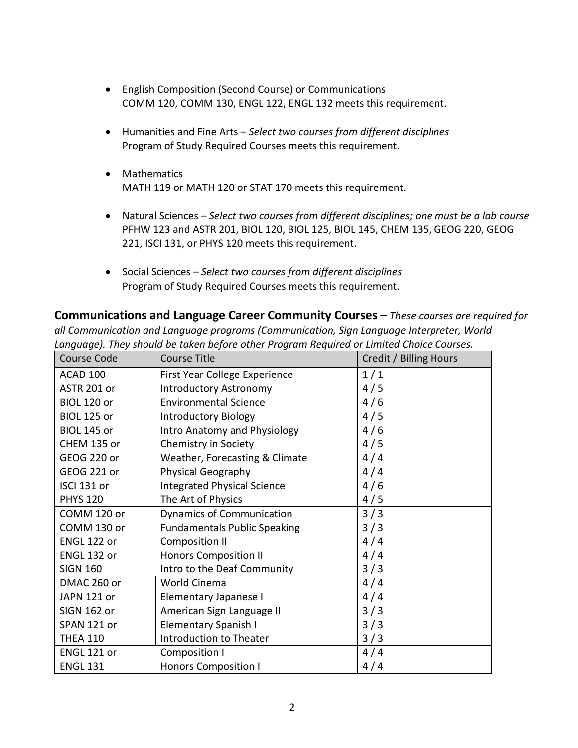- English Composition (Second Course) or Communications COMM 120, COMM 130, ENGL 122, ENGL 132 meets this requirement.
- Humanities and Fine Arts *Select two courses from different disciplines* Program of Study Required Courses meets this requirement.
- Mathematics MATH 119 or MATH 120 or STAT 170 meets this requirement.
- Natural Sciences *Select two courses from different disciplines; one must be a lab course* PFHW 123 and ASTR 201, BIOL 120, BIOL 125, BIOL 145, CHEM 135, GEOG 220, GEOG 221, ISCI 131, or PHYS 120 meets this requirement.
- Social Sciences  *Select two courses from different disciplines* Program of Study Required Courses meets this requirement.

**Communications and Language Career Community Courses –** *These courses are required for all Communication and Language programs (Communication, Sign Language Interpreter, World Language). They should be taken before other Program Required or Limited Choice Courses.* 

| Course Code        | <b>Course Title</b>                 | Credit / Billing Hours |
|--------------------|-------------------------------------|------------------------|
| ACAD 100           | First Year College Experience       | 1/1                    |
| ASTR 201 or        | <b>Introductory Astronomy</b>       | 4/5                    |
| <b>BIOL 120 or</b> | <b>Environmental Science</b>        | 4/6                    |
| <b>BIOL 125 or</b> | <b>Introductory Biology</b>         | 4/5                    |
| <b>BIOL 145 or</b> | Intro Anatomy and Physiology        | 4/6                    |
| CHEM 135 or        | Chemistry in Society                | 4/5                    |
| GEOG 220 or        | Weather, Forecasting & Climate      | 4/4                    |
| <b>GEOG 221 or</b> | <b>Physical Geography</b>           | 4/4                    |
| ISCI 131 or        | <b>Integrated Physical Science</b>  | 4/6                    |
| <b>PHYS 120</b>    | The Art of Physics                  | 4/5                    |
| COMM 120 or        | <b>Dynamics of Communication</b>    | 3/3                    |
| COMM 130 or        | <b>Fundamentals Public Speaking</b> | 3/3                    |
| ENGL 122 or        | <b>Composition II</b>               | 4/4                    |
| ENGL 132 or        | <b>Honors Composition II</b>        | 4/4                    |
| <b>SIGN 160</b>    | Intro to the Deaf Community         | 3/3                    |
| DMAC 260 or        | World Cinema                        | 4/4                    |
| JAPN 121 or        | Elementary Japanese I               | 4/4                    |
| <b>SIGN 162 or</b> | American Sign Language II           | 3/3                    |
| SPAN 121 or        | Elementary Spanish I                | 3/3                    |
| <b>THEA 110</b>    | Introduction to Theater             | 3/3                    |
| ENGL 121 or        | Composition I                       | 4/4                    |
| <b>ENGL 131</b>    | <b>Honors Composition I</b>         | 4/4                    |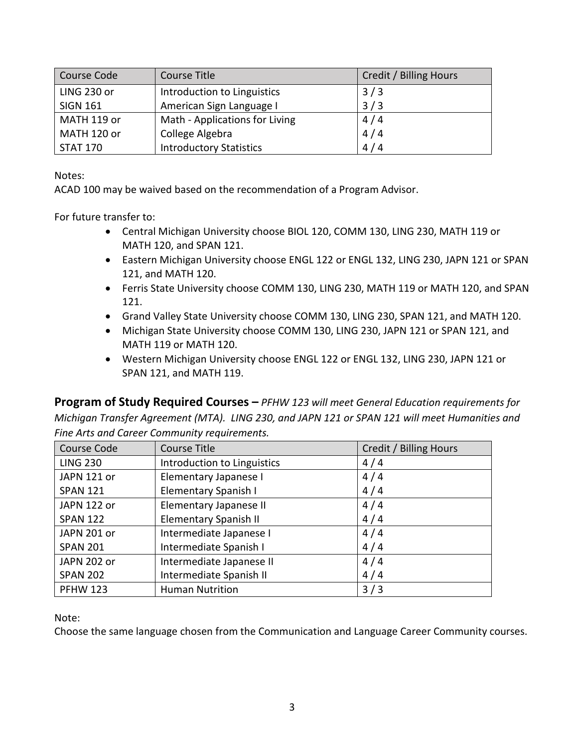| Course Code     | Course Title                   | Credit / Billing Hours |
|-----------------|--------------------------------|------------------------|
| LING 230 or     | Introduction to Linguistics    | 3/3                    |
| <b>SIGN 161</b> | American Sign Language I       | 3/3                    |
| MATH 119 or     | Math - Applications for Living | 4/4                    |
| MATH 120 or     | College Algebra                | 4/4                    |
| <b>STAT 170</b> | <b>Introductory Statistics</b> | 4/4                    |

Notes:

ACAD 100 may be waived based on the recommendation of a Program Advisor.

For future transfer to:

- Central Michigan University choose BIOL 120, COMM 130, LING 230, MATH 119 or MATH 120, and SPAN 121.
- Eastern Michigan University choose ENGL 122 or ENGL 132, LING 230, JAPN 121 or SPAN 121, and MATH 120.
- Ferris State University choose COMM 130, LING 230, MATH 119 or MATH 120, and SPAN 121.
- Grand Valley State University choose COMM 130, LING 230, SPAN 121, and MATH 120.
- Michigan State University choose COMM 130, LING 230, JAPN 121 or SPAN 121, and MATH 119 or MATH 120.
- Western Michigan University choose ENGL 122 or ENGL 132, LING 230, JAPN 121 or SPAN 121, and MATH 119.

**Program of Study Required Courses –** *PFHW 123 will meet General Education requirements for Michigan Transfer Agreement (MTA). LING 230, and JAPN 121 or SPAN 121 will meet Humanities and Fine Arts and Career Community requirements.*

| Course Code     | Course Title                 | Credit / Billing Hours |
|-----------------|------------------------------|------------------------|
| <b>LING 230</b> | Introduction to Linguistics  | 4/4                    |
| JAPN 121 or     | Elementary Japanese I        | 4/4                    |
| <b>SPAN 121</b> | Elementary Spanish I         | 4/4                    |
| JAPN 122 or     | Elementary Japanese II       | 4/4                    |
| <b>SPAN 122</b> | <b>Elementary Spanish II</b> | 4/4                    |
| JAPN 201 or     | Intermediate Japanese I      | 4/4                    |
| <b>SPAN 201</b> | Intermediate Spanish I       | 4/4                    |
| JAPN 202 or     | Intermediate Japanese II     | 4/4                    |
| <b>SPAN 202</b> | Intermediate Spanish II      | 4/4                    |
| <b>PFHW 123</b> | <b>Human Nutrition</b>       | 3/3                    |

Note:

Choose the same language chosen from the Communication and Language Career Community courses.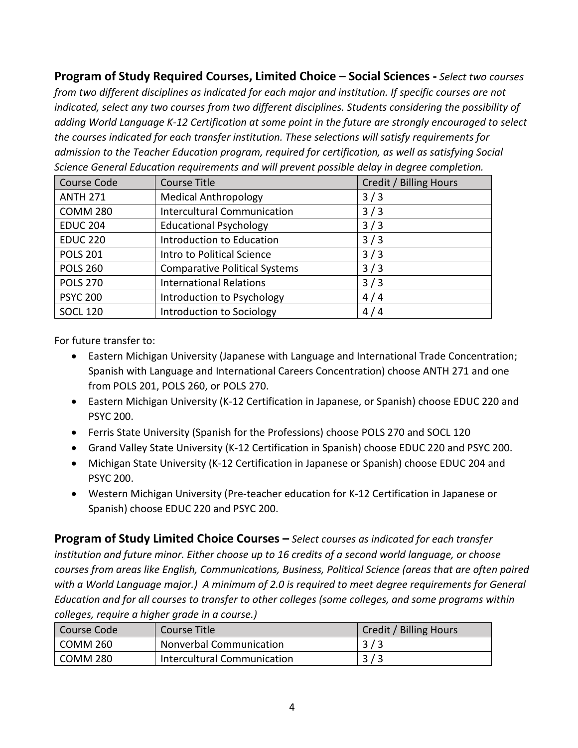**Program of Study Required Courses, Limited Choice – Social Sciences -** *Select two courses from two different disciplines as indicated for each major and institution. If specific courses are not indicated, select any two courses from two different disciplines. Students considering the possibility of adding World Language K-12 Certification at some point in the future are strongly encouraged to select the courses indicated for each transfer institution. These selections will satisfy requirements for admission to the Teacher Education program, required for certification, as well as satisfying Social Science General Education requirements and will prevent possible delay in degree completion.*

| Course Code     | <b>Course Title</b>                  | Credit / Billing Hours |
|-----------------|--------------------------------------|------------------------|
| <b>ANTH 271</b> | <b>Medical Anthropology</b>          | 3/3                    |
| <b>COMM 280</b> | <b>Intercultural Communication</b>   | 3/3                    |
| <b>EDUC 204</b> | <b>Educational Psychology</b>        | 3/3                    |
| <b>EDUC 220</b> | Introduction to Education            | 3/3                    |
| <b>POLS 201</b> | Intro to Political Science           | 3/3                    |
| <b>POLS 260</b> | <b>Comparative Political Systems</b> | 3/3                    |
| <b>POLS 270</b> | <b>International Relations</b>       | 3/3                    |
| <b>PSYC 200</b> | Introduction to Psychology           | 4/4                    |
| <b>SOCL 120</b> | Introduction to Sociology            | 4/4                    |

For future transfer to:

- Eastern Michigan University (Japanese with Language and International Trade Concentration; Spanish with Language and International Careers Concentration) choose ANTH 271 and one from POLS 201, POLS 260, or POLS 270.
- Eastern Michigan University (K-12 Certification in Japanese, or Spanish) choose EDUC 220 and PSYC 200.
- Ferris State University (Spanish for the Professions) choose POLS 270 and SOCL 120
- Grand Valley State University (K-12 Certification in Spanish) choose EDUC 220 and PSYC 200.
- Michigan State University (K-12 Certification in Japanese or Spanish) choose EDUC 204 and PSYC 200.
- Western Michigan University (Pre-teacher education for K-12 Certification in Japanese or Spanish) choose EDUC 220 and PSYC 200.

**Program of Study Limited Choice Courses –** *Select courses as indicated for each transfer institution and future minor. Either choose up to 16 credits of a second world language, or choose courses from areas like English, Communications, Business, Political Science (areas that are often paired with a World Language major.) A minimum of 2.0 is required to meet degree requirements for General Education and for all courses to transfer to other colleges (some colleges, and some programs within colleges, require a higher grade in a course.)* 

| l Course Code | Course Title                   | Credit / Billing Hours |
|---------------|--------------------------------|------------------------|
| COMM 260      | <b>Nonverbal Communication</b> | 3/3                    |
| COMM 280      | Intercultural Communication    | 3/3                    |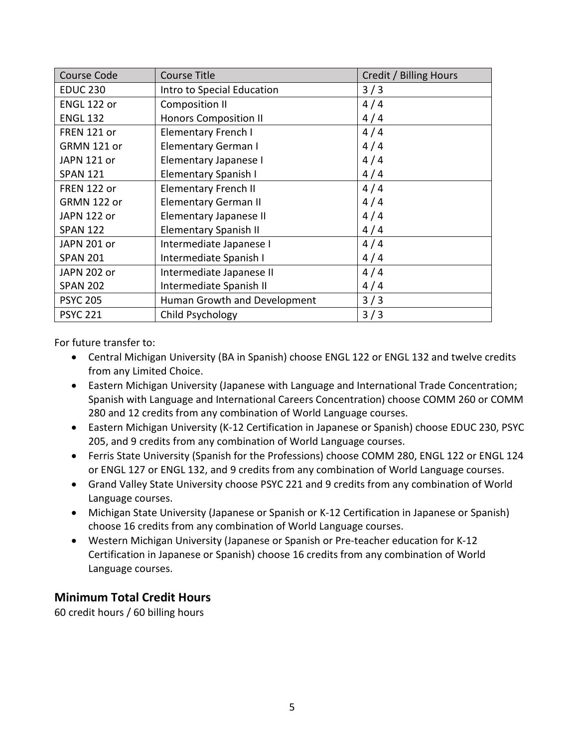| Course Code        | <b>Course Title</b>          | Credit / Billing Hours |
|--------------------|------------------------------|------------------------|
| <b>EDUC 230</b>    | Intro to Special Education   | 3/3                    |
| ENGL 122 or        | <b>Composition II</b>        | 4/4                    |
| <b>ENGL 132</b>    | <b>Honors Composition II</b> | 4/4                    |
| <b>FREN 121 or</b> | <b>Elementary French I</b>   | 4/4                    |
| GRMN 121 or        | Elementary German I          | 4/4                    |
| JAPN 121 or        | Elementary Japanese I        | 4/4                    |
| <b>SPAN 121</b>    | Elementary Spanish I         | 4/4                    |
| FREN 122 or        | <b>Elementary French II</b>  | 4/4                    |
| GRMN 122 or        | <b>Elementary German II</b>  | 4/4                    |
| JAPN 122 or        | Elementary Japanese II       | 4/4                    |
| <b>SPAN 122</b>    | <b>Elementary Spanish II</b> | 4/4                    |
| JAPN 201 or        | Intermediate Japanese I      | 4/4                    |
| <b>SPAN 201</b>    | Intermediate Spanish I       | 4/4                    |
| JAPN 202 or        | Intermediate Japanese II     | 4/4                    |
| <b>SPAN 202</b>    | Intermediate Spanish II      | 4/4                    |
| <b>PSYC 205</b>    | Human Growth and Development | 3/3                    |
| <b>PSYC 221</b>    | Child Psychology             | 3/3                    |

For future transfer to:

- Central Michigan University (BA in Spanish) choose ENGL 122 or ENGL 132 and twelve credits from any Limited Choice.
- Eastern Michigan University (Japanese with Language and International Trade Concentration; Spanish with Language and International Careers Concentration) choose COMM 260 or COMM 280 and 12 credits from any combination of World Language courses.
- Eastern Michigan University (K-12 Certification in Japanese or Spanish) choose EDUC 230, PSYC 205, and 9 credits from any combination of World Language courses.
- Ferris State University (Spanish for the Professions) choose COMM 280, ENGL 122 or ENGL 124 or ENGL 127 or ENGL 132, and 9 credits from any combination of World Language courses.
- Grand Valley State University choose PSYC 221 and 9 credits from any combination of World Language courses.
- Michigan State University (Japanese or Spanish or K-12 Certification in Japanese or Spanish) choose 16 credits from any combination of World Language courses.
- Western Michigan University (Japanese or Spanish or Pre-teacher education for K-12 Certification in Japanese or Spanish) choose 16 credits from any combination of World Language courses.

### **Minimum Total Credit Hours**

60 credit hours / 60 billing hours